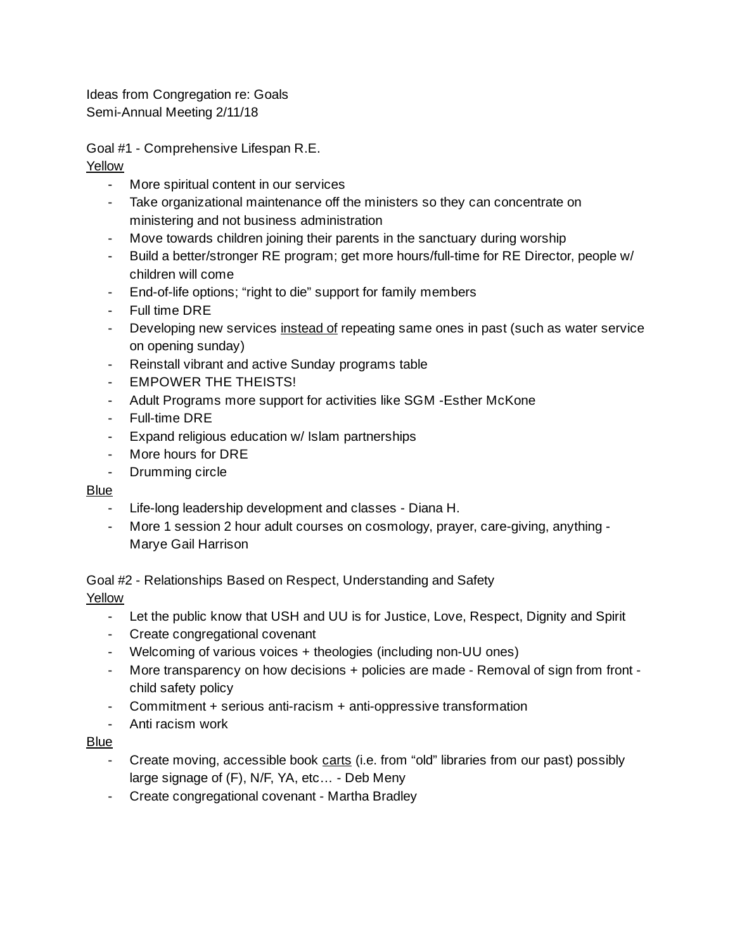Ideas from Congregation re: Goals Semi-Annual Meeting 2/11/18

Goal #1 - Comprehensive Lifespan R.E.

- Yellow
	- More spiritual content in our services
	- Take organizational maintenance off the ministers so they can concentrate on ministering and not business administration
	- Move towards children joining their parents in the sanctuary during worship
	- Build a better/stronger RE program; get more hours/full-time for RE Director, people w/ children will come
	- End-of-life options; "right to die" support for family members
	- Full time DRE
	- Developing new services instead of repeating same ones in past (such as water service on opening sunday)
	- Reinstall vibrant and active Sunday programs table
	- EMPOWER THE THEISTS!
	- Adult Programs more support for activities like SGM -Esther McKone
	- Full-time DRE
	- Expand religious education w/ Islam partnerships
	- More hours for DRE
	- Drumming circle

### Blue

- Life-long leadership development and classes Diana H.
- More 1 session 2 hour adult courses on cosmology, prayer, care-giving, anything Marye Gail Harrison

Goal #2 - Relationships Based on Respect, Understanding and Safety

### Yellow

- Let the public know that USH and UU is for Justice, Love, Respect, Dignity and Spirit
- Create congregational covenant
- Welcoming of various voices + theologies (including non-UU ones)
- More transparency on how decisions + policies are made Removal of sign from front child safety policy
- Commitment + serious anti-racism + anti-oppressive transformation
- Anti racism work

### Blue

- Create moving, accessible book carts (i.e. from "old" libraries from our past) possibly large signage of (F), N/F, YA, etc… - Deb Meny
- Create congregational covenant Martha Bradley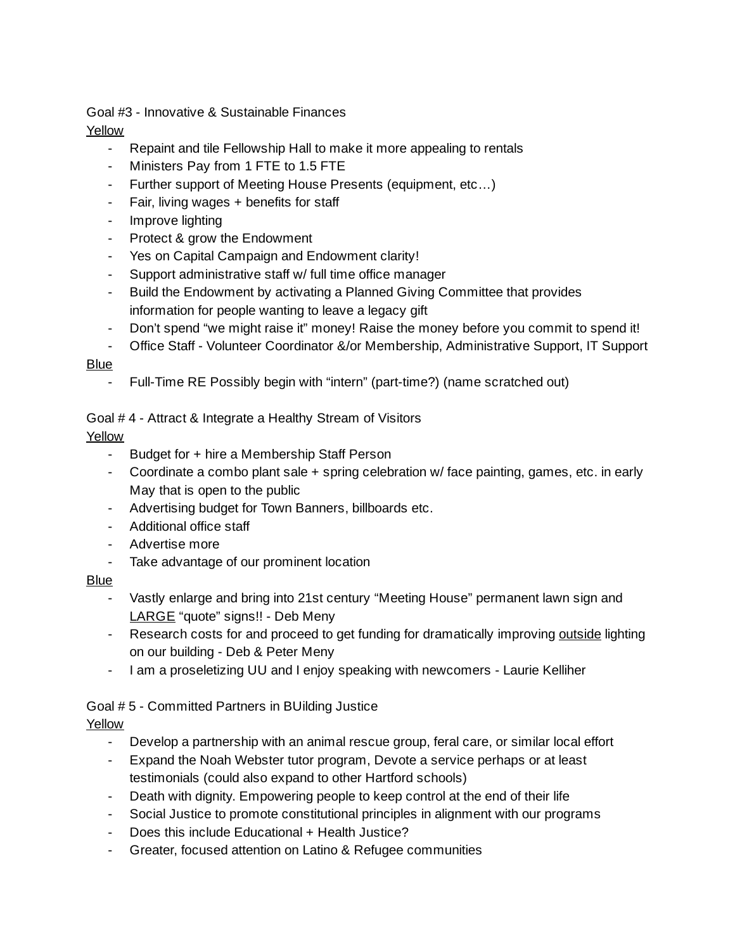Goal #3 - Innovative & Sustainable Finances

Yellow

- Repaint and tile Fellowship Hall to make it more appealing to rentals
- Ministers Pay from 1 FTE to 1.5 FTE
- Further support of Meeting House Presents (equipment, etc…)
- Fair, living wages + benefits for staff
- Improve lighting
- Protect & grow the Endowment
- Yes on Capital Campaign and Endowment clarity!
- Support administrative staff w/ full time office manager
- Build the Endowment by activating a Planned Giving Committee that provides information for people wanting to leave a legacy gift
- Don't spend "we might raise it" money! Raise the money before you commit to spend it!
- Office Staff Volunteer Coordinator &/or Membership, Administrative Support, IT Support

## Blue

- Full-Time RE Possibly begin with "intern" (part-time?) (name scratched out)

Goal # 4 - Attract & Integrate a Healthy Stream of Visitors

# Yellow

- Budget for + hire a Membership Staff Person
- Coordinate a combo plant sale + spring celebration w/ face painting, games, etc. in early May that is open to the public
- Advertising budget for Town Banners, billboards etc.
- Additional office staff
- Advertise more
- Take advantage of our prominent location

# Blue

- Vastly enlarge and bring into 21st century "Meeting House" permanent lawn sign and LARGE "quote" signs!! - Deb Meny
- Research costs for and proceed to get funding for dramatically improving outside lighting on our building - Deb & Peter Meny
- I am a proseletizing UU and I enjoy speaking with newcomers Laurie Kelliher

# Goal # 5 - Committed Partners in BUilding Justice

# Yellow

- Develop a partnership with an animal rescue group, feral care, or similar local effort
- Expand the Noah Webster tutor program, Devote a service perhaps or at least testimonials (could also expand to other Hartford schools)
- Death with dignity. Empowering people to keep control at the end of their life
- Social Justice to promote constitutional principles in alignment with our programs
- Does this include Educational + Health Justice?
- Greater, focused attention on Latino & Refugee communities